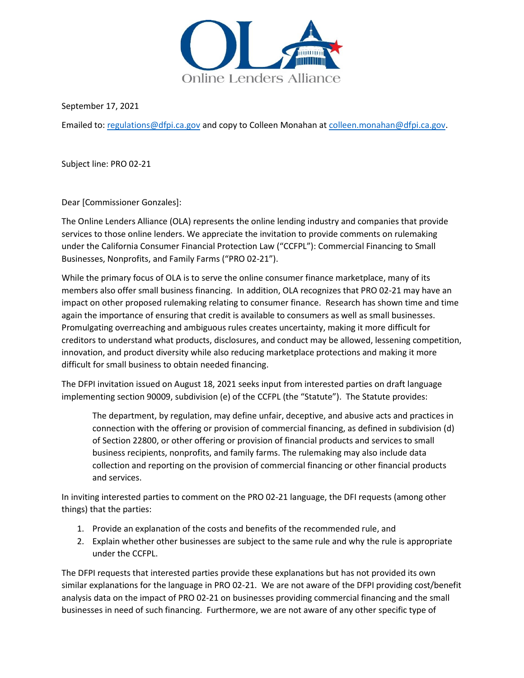

September 17, 2021

Emailed to: [regulations@dfpi.ca.gov](mailto:regulations@dfpi.ca.gov) and copy to Colleen Monahan at [colleen.monahan@dfpi.ca.gov.](mailto:colleen.monahan@dfpi.ca.gov)

Subject line: PRO 02-21

Dear [Commissioner Gonzales]:

The Online Lenders Alliance (OLA) represents the online lending industry and companies that provide services to those online lenders. We appreciate the invitation to provide comments on rulemaking under the California Consumer Financial Protection Law ("CCFPL"): Commercial Financing to Small Businesses, Nonprofits, and Family Farms ("PRO 02-21").

While the primary focus of OLA is to serve the online consumer finance marketplace, many of its members also offer small business financing. In addition, OLA recognizes that PRO 02-21 may have an impact on other proposed rulemaking relating to consumer finance. Research has shown time and time again the importance of ensuring that credit is available to consumers as well as small businesses. Promulgating overreaching and ambiguous rules creates uncertainty, making it more difficult for creditors to understand what products, disclosures, and conduct may be allowed, lessening competition, innovation, and product diversity while also reducing marketplace protections and making it more difficult for small business to obtain needed financing.

The DFPI invitation issued on August 18, 2021 seeks input from interested parties on draft language implementing section 90009, subdivision (e) of the CCFPL (the "Statute"). The Statute provides:

The department, by regulation, may define unfair, deceptive, and abusive acts and practices in connection with the offering or provision of commercial financing, as defined in subdivision (d) of Section 22800, or other offering or provision of financial products and services to small business recipients, nonprofits, and family farms. The rulemaking may also include data collection and reporting on the provision of commercial financing or other financial products and services.

In inviting interested parties to comment on the PRO 02-21 language, the DFI requests (among other things) that the parties:

- 1. Provide an explanation of the costs and benefits of the recommended rule, and
- 2. Explain whether other businesses are subject to the same rule and why the rule is appropriate under the CCFPL.

The DFPI requests that interested parties provide these explanations but has not provided its own similar explanations for the language in PRO 02-21. We are not aware of the DFPI providing cost/benefit analysis data on the impact of PRO 02-21 on businesses providing commercial financing and the small businesses in need of such financing. Furthermore, we are not aware of any other specific type of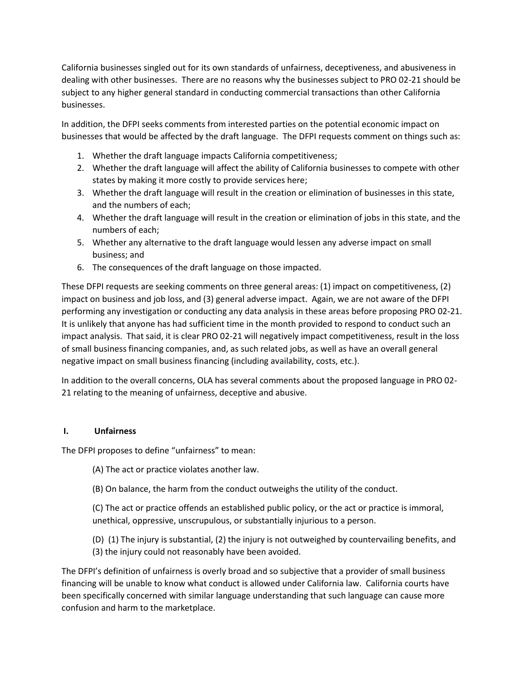California businesses singled out for its own standards of unfairness, deceptiveness, and abusiveness in dealing with other businesses. There are no reasons why the businesses subject to PRO 02-21 should be subject to any higher general standard in conducting commercial transactions than other California businesses.

In addition, the DFPI seeks comments from interested parties on the potential economic impact on businesses that would be affected by the draft language. The DFPI requests comment on things such as:

- 1. Whether the draft language impacts California competitiveness;
- 2. Whether the draft language will affect the ability of California businesses to compete with other states by making it more costly to provide services here;
- 3. Whether the draft language will result in the creation or elimination of businesses in this state, and the numbers of each;
- 4. Whether the draft language will result in the creation or elimination of jobs in this state, and the numbers of each;
- 5. Whether any alternative to the draft language would lessen any adverse impact on small business; and
- 6. The consequences of the draft language on those impacted.

These DFPI requests are seeking comments on three general areas: (1) impact on competitiveness, (2) impact on business and job loss, and (3) general adverse impact. Again, we are not aware of the DFPI performing any investigation or conducting any data analysis in these areas before proposing PRO 02-21. It is unlikely that anyone has had sufficient time in the month provided to respond to conduct such an impact analysis. That said, it is clear PRO 02-21 will negatively impact competitiveness, result in the loss of small business financing companies, and, as such related jobs, as well as have an overall general negative impact on small business financing (including availability, costs, etc.).

In addition to the overall concerns, OLA has several comments about the proposed language in PRO 02- 21 relating to the meaning of unfairness, deceptive and abusive.

## **I. Unfairness**

The DFPI proposes to define "unfairness" to mean:

- (A) The act or practice violates another law.
- (B) On balance, the harm from the conduct outweighs the utility of the conduct.

(C) The act or practice offends an established public policy, or the act or practice is immoral, unethical, oppressive, unscrupulous, or substantially injurious to a person.

(D) (1) The injury is substantial, (2) the injury is not outweighed by countervailing benefits, and (3) the injury could not reasonably have been avoided.

The DFPI's definition of unfairness is overly broad and so subjective that a provider of small business financing will be unable to know what conduct is allowed under California law. California courts have been specifically concerned with similar language understanding that such language can cause more confusion and harm to the marketplace.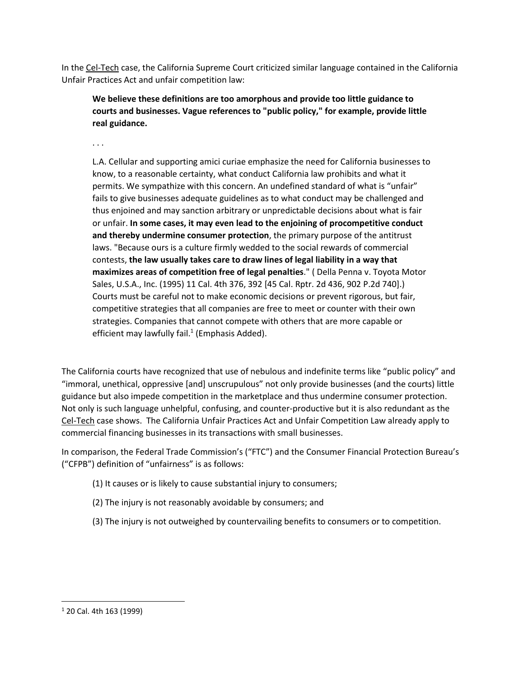In the Cel-Tech case, the California Supreme Court criticized similar language contained in the California Unfair Practices Act and unfair competition law:

**We believe these definitions are too amorphous and provide too little guidance to courts and businesses. Vague references to "public policy," for example, provide little real guidance.**

. . .

L.A. Cellular and supporting amici curiae emphasize the need for California businesses to know, to a reasonable certainty, what conduct California law prohibits and what it permits. We sympathize with this concern. An undefined standard of what is "unfair" fails to give businesses adequate guidelines as to what conduct may be challenged and thus enjoined and may sanction arbitrary or unpredictable decisions about what is fair or unfair. **In some cases, it may even lead to the enjoining of procompetitive conduct and thereby undermine consumer protection**, the primary purpose of the antitrust laws. "Because ours is a culture firmly wedded to the social rewards of commercial contests, **the law usually takes care to draw lines of legal liability in a way that maximizes areas of competition free of legal penalties**." ( Della Penna v. Toyota Motor Sales, U.S.A., Inc. (1995) 11 Cal. 4th 376, 392 [45 Cal. Rptr. 2d 436, 902 P.2d 740].) Courts must be careful not to make economic decisions or prevent rigorous, but fair, competitive strategies that all companies are free to meet or counter with their own strategies. Companies that cannot compete with others that are more capable or efficient may lawfully fail. $1$  (Emphasis Added).

The California courts have recognized that use of nebulous and indefinite terms like "public policy" and "immoral, unethical, oppressive [and] unscrupulous" not only provide businesses (and the courts) little guidance but also impede competition in the marketplace and thus undermine consumer protection. Not only is such language unhelpful, confusing, and counter-productive but it is also redundant as the Cel-Tech case shows. The California Unfair Practices Act and Unfair Competition Law already apply to commercial financing businesses in its transactions with small businesses.

In comparison, the Federal Trade Commission's ("FTC") and the Consumer Financial Protection Bureau's ("CFPB") definition of "unfairness" is as follows:

- (1) It causes or is likely to cause substantial injury to consumers;
- (2) The injury is not reasonably avoidable by consumers; and
- (3) The injury is not outweighed by countervailing benefits to consumers or to competition.

<sup>1</sup> 20 Cal. 4th 163 (1999)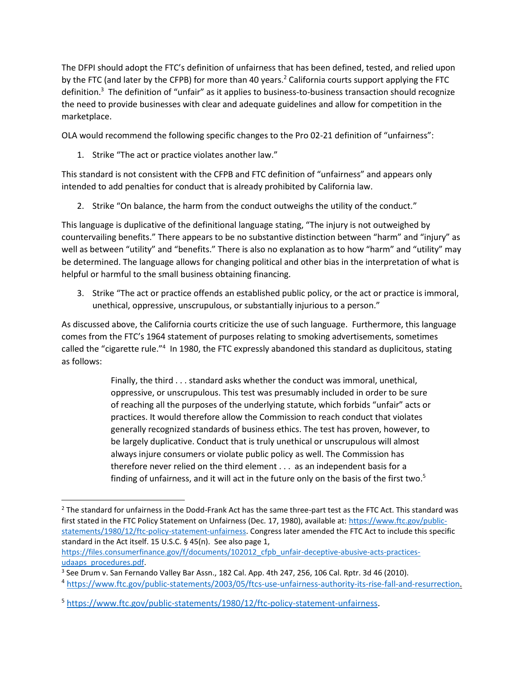The DFPI should adopt the FTC's definition of unfairness that has been defined, tested, and relied upon by the FTC (and later by the CFPB) for more than 40 years.<sup>2</sup> California courts support applying the FTC definition.<sup>3</sup> The definition of "unfair" as it applies to business-to-business transaction should recognize the need to provide businesses with clear and adequate guidelines and allow for competition in the marketplace.

OLA would recommend the following specific changes to the Pro 02-21 definition of "unfairness":

1. Strike "The act or practice violates another law."

This standard is not consistent with the CFPB and FTC definition of "unfairness" and appears only intended to add penalties for conduct that is already prohibited by California law.

2. Strike "On balance, the harm from the conduct outweighs the utility of the conduct."

This language is duplicative of the definitional language stating, "The injury is not outweighed by countervailing benefits." There appears to be no substantive distinction between "harm" and "injury" as well as between "utility" and "benefits." There is also no explanation as to how "harm" and "utility" may be determined. The language allows for changing political and other bias in the interpretation of what is helpful or harmful to the small business obtaining financing.

3. Strike "The act or practice offends an established public policy, or the act or practice is immoral, unethical, oppressive, unscrupulous, or substantially injurious to a person."

As discussed above, the California courts criticize the use of such language. Furthermore, this language comes from the FTC's 1964 statement of purposes relating to smoking advertisements, sometimes called the "cigarette rule."<sup>4</sup> In 1980, the FTC expressly abandoned this standard as duplicitous, stating as follows:

> Finally, the third . . . standard asks whether the conduct was immoral, unethical, oppressive, or unscrupulous. This test was presumably included in order to be sure of reaching all the purposes of the underlying statute, which forbids "unfair" acts or practices. It would therefore allow the Commission to reach conduct that violates generally recognized standards of business ethics. The test has proven, however, to be largely duplicative. Conduct that is truly unethical or unscrupulous will almost always injure consumers or violate public policy as well. The Commission has therefore never relied on the third element . . . as an independent basis for a finding of unfairness, and it will act in the future only on the basis of the first two.<sup>5</sup>

 $2$  The standard for unfairness in the Dodd-Frank Act has the same three-part test as the FTC Act. This standard was first stated in the FTC Policy Statement on Unfairness (Dec. 17, 1980), available at: [https://www.ftc.gov/public](https://www.ftc.gov/public-statements/1980/12/ftc-policy-statement-unfairness)[statements/1980/12/ftc-policy-statement-unfairness.](https://www.ftc.gov/public-statements/1980/12/ftc-policy-statement-unfairness) Congress later amended the FTC Act to include this specific standard in the Act itself. 15 U.S.C. § 45(n). See also page 1,

[https://files.consumerfinance.gov/f/documents/102012\\_cfpb\\_unfair-deceptive-abusive-acts-practices](https://files.consumerfinance.gov/f/documents/102012_cfpb_unfair-deceptive-abusive-acts-practices-udaaps_procedures.pdf)[udaaps\\_procedures.pdf.](https://files.consumerfinance.gov/f/documents/102012_cfpb_unfair-deceptive-abusive-acts-practices-udaaps_procedures.pdf)

<sup>&</sup>lt;sup>3</sup> See Drum v. San Fernando Valley Bar Assn., 182 Cal. App. 4th 247, 256, 106 Cal. Rptr. 3d 46 (2010).

<sup>4</sup> [https://www.ftc.gov/public-statements/2003/05/ftcs-use-unfairness-authority-its-rise-fall-and-resurrection.](https://www.ftc.gov/public-statements/2003/05/ftcs-use-unfairness-authority-its-rise-fall-and-resurrection)

<sup>&</sup>lt;sup>5</sup> [https://www.ftc.gov/public-statements/1980/12/ftc-policy-statement-unfairness.](https://www.ftc.gov/public-statements/1980/12/ftc-policy-statement-unfairness)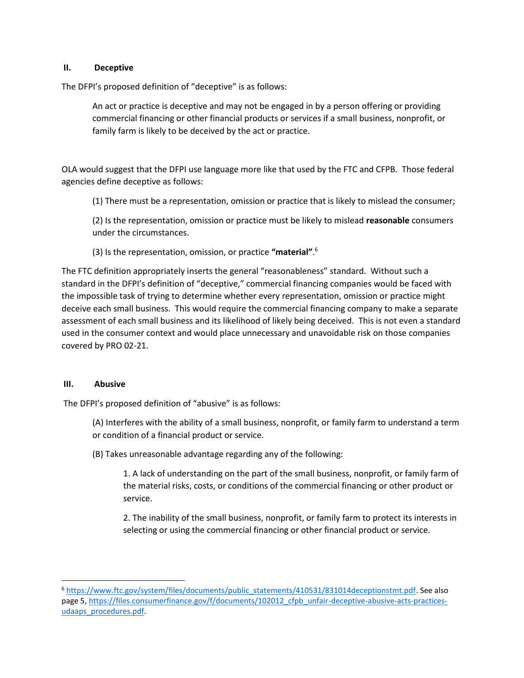## **II. Deceptive**

The DFPI's proposed definition of "deceptive" is as follows:

An act or practice is deceptive and may not be engaged in by a person offering or providing commercial financing or other financial products or services if a small business, nonprofit, or family farm is likely to be deceived by the act or practice.

OLA would suggest that the DFPI use language more like that used by the FTC and CFPB. Those federal agencies define deceptive as follows:

(1) There must be a representation, omission or practice that is likely to mislead the consumer;

(2) Is the representation, omission or practice must be likely to mislead **reasonable** consumers under the circumstances.

(3) Is the representation, omission, or practice **"material"**. 6

The FTC definition appropriately inserts the general "reasonableness" standard. Without such a standard in the DFPI's definition of "deceptive," commercial financing companies would be faced with the impossible task of trying to determine whether every representation, omission or practice might deceive each small business. This would require the commercial financing company to make a separate assessment of each small business and its likelihood of likely being deceived. This is not even a standard used in the consumer context and would place unnecessary and unavoidable risk on those companies covered by PRO 02-21.

## **III. Abusive**

The DFPI's proposed definition of "abusive" is as follows:

- (A) Interferes with the ability of a small business, nonprofit, or family farm to understand a term or condition of a financial product or service.
- (B) Takes unreasonable advantage regarding any of the following:

1. A lack of understanding on the part of the small business, nonprofit, or family farm of the material risks, costs, or conditions of the commercial financing or other product or service.

2. The inability of the small business, nonprofit, or family farm to protect its interests in selecting or using the commercial financing or other financial product or service.

<sup>6</sup> [https://www.ftc.gov/system/files/documents/public\\_statements/410531/831014deceptionstmt.pdf.](https://www.ftc.gov/system/files/documents/public_statements/410531/831014deceptionstmt.pdf) See also page 5, [https://files.consumerfinance.gov/f/documents/102012\\_cfpb\\_unfair-deceptive-abusive-acts-practices](https://files.consumerfinance.gov/f/documents/102012_cfpb_unfair-deceptive-abusive-acts-practices-udaaps_procedures.pdf)[udaaps\\_procedures.pdf.](https://files.consumerfinance.gov/f/documents/102012_cfpb_unfair-deceptive-abusive-acts-practices-udaaps_procedures.pdf)